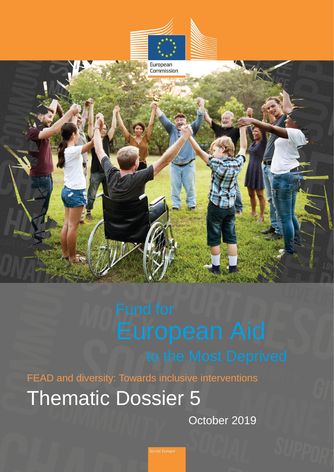





FEAD and diversity: Towards inclusive interventions

Thematic Dossier 5

October 2019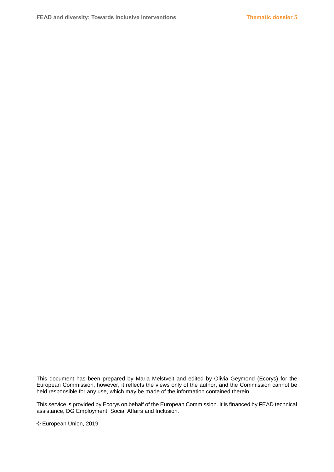This document has been prepared by Maria Melstveit and edited by Olivia Geymond (Ecorys) for the European Commission, however, it reflects the views only of the author, and the Commission cannot be held responsible for any use, which may be made of the information contained therein.

This service is provided by Ecorys on behalf of the European Commission. It is financed by FEAD technical assistance, DG Employment, Social Affairs and Inclusion.

© European Union, 2019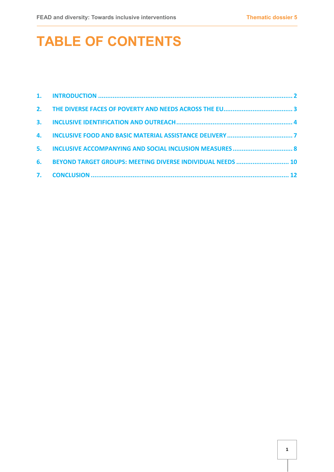# **TABLE OF CONTENTS**

| 5. |                                                            |  |
|----|------------------------------------------------------------|--|
| 6. | BEYOND TARGET GROUPS: MEETING DIVERSE INDIVIDUAL NEEDS  10 |  |
|    |                                                            |  |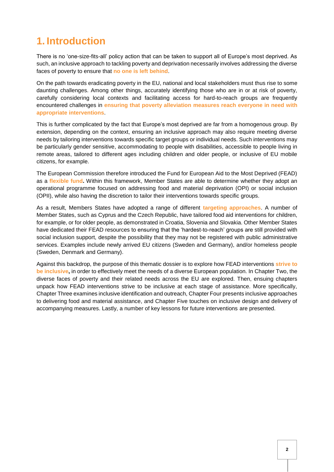### <span id="page-3-0"></span>**1. Introduction**

There is no 'one-size-fits-all' policy action that can be taken to support all of Europe's most deprived. As such, an inclusive approach to tackling poverty and deprivation necessarily involves addressing the diverse faces of poverty to ensure that **no one is left behind**.

On the path towards eradicating poverty in the EU, national and local stakeholders must thus rise to some daunting challenges. Among other things, accurately identifying those who are in or at risk of poverty, carefully considering local contexts and facilitating access for hard-to-reach groups are frequently encountered challenges in **ensuring that poverty alleviation measures reach everyone in need with appropriate interventions**.

This is further complicated by the fact that Europe's most deprived are far from a homogenous group. By extension, depending on the context, ensuring an inclusive approach may also require meeting diverse needs by tailoring interventions towards specific target groups or individual needs. Such interventions may be particularly gender sensitive, accommodating to people with disabilities, accessible to people living in remote areas, tailored to different ages including children and older people, or inclusive of EU mobile citizens, for example.

The European Commission therefore introduced the Fund for European Aid to the Most Deprived (FEAD) as a **flexible fund.** Within this framework, Member States are able to determine whether they adopt an operational programme focused on addressing food and material deprivation (OPI) or social inclusion (OPII), while also having the discretion to tailor their interventions towards specific groups.

As a result, Members States have adopted a range of different **targeting approaches**. A number of Member States, such as Cyprus and the Czech Republic, have tailored food aid interventions for children, for example, or for older people, as demonstrated in Croatia, Slovenia and Slovakia. Other Member States have dedicated their FEAD resources to ensuring that the 'hardest-to-reach' groups are still provided with social inclusion support, despite the possibility that they may not be registered with public administrative services. Examples include newly arrived EU citizens (Sweden and Germany), and/or homeless people (Sweden, Denmark and Germany).

Against this backdrop, the purpose of this thematic dossier is to explore how FEAD interventions **strive to be inclusive,** in order to effectively meet the needs of a diverse European population. In Chapter Two, the diverse faces of poverty and their related needs across the EU are explored. Then, ensuing chapters unpack how FEAD interventions strive to be inclusive at each stage of assistance. More specifically, Chapter Three examines inclusive identification and outreach, Chapter Four presents inclusive approaches to delivering food and material assistance, and Chapter Five touches on inclusive design and delivery of accompanying measures. Lastly, a number of key lessons for future interventions are presented.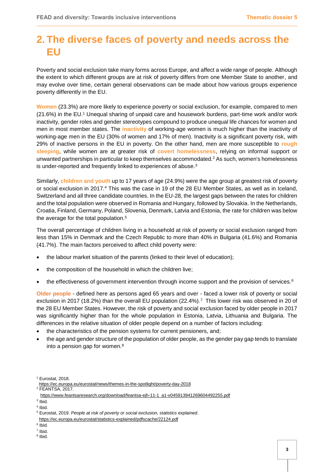### <span id="page-4-0"></span>**2. The diverse faces of poverty and needs across the EU**

Poverty and social exclusion take many forms across Europe, and affect a wide range of people. Although the extent to which different groups are at risk of poverty differs from one Member State to another, and may evolve over time, certain general observations can be made about how various groups experience poverty differently in the EU.

**Women** (23.3%) are more likely to experience poverty or social exclusion, for example, compared to men (21.6%) in the EU.<sup>1</sup> Unequal sharing of unpaid care and housework burdens, part-time work and/or work inactivity, gender roles and gender stereotypes compound to produce unequal life chances for women and men in most member states. The **inactivity** of working-age women is much higher than the inactivity of working-age men in the EU (30% of women and 17% of men). Inactivity is a significant poverty risk, with 29% of inactive persons in the EU in poverty. On the other hand, men are more susceptible to **rough sleeping**, while women are at greater risk of **covert homelessness**, relying on informal support or unwanted partnerships in particular to keep themselves accommodated. $2$  As such, women's homelessness is under-reported and frequently linked to experiences of abuse.<sup>3</sup>

Similarly, **children and youth** up to 17 years of age (24.9%) were the age group at greatest risk of poverty or social exclusion in 2017.<sup>4</sup> This was the case in 19 of the 28 EU Member States, as well as in Iceland, Switzerland and all three candidate countries. In the EU-28, the largest gaps between the rates for children and the total population were observed in Romania and Hungary, followed by Slovakia. In the Netherlands, Croatia, Finland, Germany, Poland, Slovenia, Denmark, Latvia and Estonia, the rate for children was below the average for the total population.<sup>5</sup>

The overall percentage of children living in a household at risk of poverty or social exclusion ranged from less than 15% in Denmark and the Czech Republic to more than 40% in Bulgaria (41.6%) and Romania (41.7%). The main factors perceived to affect child poverty were:

- the labour market situation of the parents (linked to their level of education);
- the composition of the household in which the children live;
- $\bullet$  the effectiveness of government intervention through income support and the provision of services.<sup>6</sup>

**Older people** - defined here as persons aged 65 years and over - faced a lower risk of poverty or social exclusion in 2017 (18.2%) than the overall EU population (22.4%).<sup>7</sup> This lower risk was observed in 20 of the 28 EU Member States. However, the risk of poverty and social exclusion faced by older people in 2017 was significantly higher than for the whole population in Estonia, Latvia, Lithuania and Bulgaria. The differences in the relative situation of older people depend on a number of factors including:

- the characteristics of the pension systems for current pensioners, and;
- the age and gender structure of the population of older people, as the gender pay gap tends to translate into a pension gap for women.<sup>8</sup>

<sup>1</sup> Eurostat, 2018.

<https://ec.europa.eu/eurostat/news/themes-in-the-spotlight/poverty-day-2018> <sup>2</sup> FEANTSA, 2017.

[https://www.feantsaresearch.org/download/feantsa-ejh-11-1\\_a1-v045913941269604492255.pdf](https://www.feantsaresearch.org/download/feantsa-ejh-11-1_a1-v045913941269604492255.pdf)

<sup>3</sup> Ibid. 4 Ibid.

<sup>5</sup> Eurostat, 2019. *People at risk of poverty or social exclusion, statistics explained*. <https://ec.europa.eu/eurostat/statistics-explained/pdfscache/22124.pdf>

<sup>&</sup>lt;sup>6</sup> Ibid.

<sup>7</sup> Ibid.

<sup>&</sup>lt;sup>8</sup> Ibid.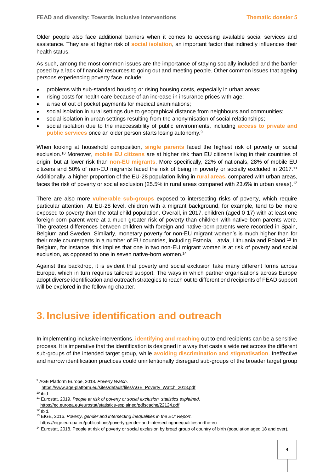Older people also face additional barriers when it comes to accessing available social services and assistance. They are at higher risk of **social isolation**, an important factor that indirectly influences their health status.

As such, among the most common issues are the importance of staying socially included and the barrier posed by a lack of financial resources to going out and meeting people. Other common issues that ageing persons experiencing poverty face include:

- problems with sub-standard housing or rising housing costs, especially in urban areas;
- rising costs for health care because of an increase in insurance prices with age;
- a rise of out of pocket payments for medical examinations;
- social isolation in rural settings due to geographical distance from neighbours and communities;
- social isolation in urban settings resulting from the anonymisation of social relationships;
- social isolation due to the inaccessibility of public environments, including **access to private and public services** once an older person starts losing autonomy.<sup>9</sup>

When looking at household composition, **single parents** faced the highest risk of poverty or social exclusion.<sup>10</sup> Moreover, **mobile EU citizens** are at higher risk than EU citizens living in their countries of origin, but at lower risk than **non-EU migrants**. More specifically, 22% of nationals, 28% of mobile EU citizens and 50% of non-EU migrants faced the risk of being in poverty or socially excluded in 2017.<sup>11</sup> Additionally, a higher proportion of the EU-28 population living in **rural areas,** compared with urban areas, faces the risk of poverty or social exclusion (25.5% in rural areas compared with 23.6% in urban areas).<sup>12</sup>

There are also more **vulnerable sub-groups** exposed to intersecting risks of poverty, which require particular attention. At EU-28 level, children with a migrant background, for example, tend to be more exposed to poverty than the total child population. Overall, in 2017, children (aged 0-17) with at least one foreign-born parent were at a much greater risk of poverty than children with native-born parents were. The greatest differences between children with foreign and native-born parents were recorded in Spain, Belgium and Sweden. Similarly, monetary poverty for non-EU migrant women's is much higher than for their male counterparts in a number of EU countries, including Estonia, Latvia, Lithuania and Poland.<sup>13</sup> In Belgium, for instance, this implies that one in two non-EU migrant women is at risk of poverty and social exclusion, as opposed to one in seven native-born women.<sup>14</sup>

Against this backdrop, it is evident that poverty and social exclusion take many different forms across Europe, which in turn requires tailored support. The ways in which partner organisations across Europe adopt diverse identification and outreach strategies to reach out to different end recipients of FEAD support will be explored in the following chapter.

### <span id="page-5-0"></span>**3. Inclusive identification and outreach**

In implementing inclusive interventions, **identifying and reaching** out to end recipients can be a sensitive process. It is imperative that the identification is designed in a way that casts a wide net across the different sub-groups of the intended target group, while **avoiding discrimination and stigmatisation**. Ineffective and narrow identification practices could unintentionally disregard sub-groups of the broader target group

<sup>9</sup> AGE Platform Europe, 2018. *Poverty Watch*.

[https://www.age-platform.eu/sites/default/files/AGE\\_Poverty\\_Watch\\_2018.pdf](https://www.age-platform.eu/sites/default/files/AGE_Poverty_Watch_2018.pdf)

 $10$  ibid

<sup>11</sup> Eurostat, 2019. *People at risk of poverty or social exclusion, statistics explained*.

<https://ec.europa.eu/eurostat/statistics-explained/pdfscache/22124.pdf>

 $12$  Ibid.

<sup>13</sup> EIGE, 2016. *Poverty, gender and intersecting inequalities in the EU: Report.* <https://eige.europa.eu/publications/poverty-gender-and-intersecting-inequalities-in-the-eu>

<sup>14</sup> Eurostat, 2018. People at risk of poverty or social exclusion by broad group of country of birth (population aged 18 and over).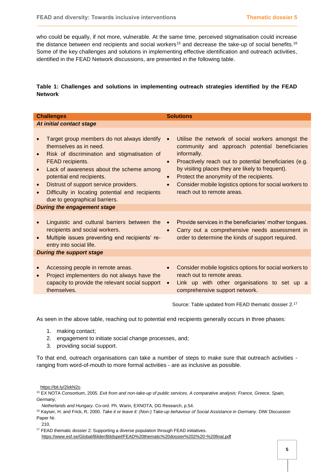who could be equally, if not more, vulnerable. At the same time, perceived stigmatisation could increase the distance between end recipients and social workers<sup>15</sup> and decrease the take-up of social benefits.<sup>16</sup> Some of the key challenges and solutions in implementing effective identification and outreach activities, identified in the FEAD Network discussions, are presented in the following table.

### **Table 1: Challenges and solutions in implementing outreach strategies identified by the FEAD Network**

| <b>Challenges</b>                                                                                                                                                                                                                                                                                                                                                                                    | <b>Solutions</b>                                                                                                                                                                                                                                                                                                                                                                                                          |  |  |  |  |  |
|------------------------------------------------------------------------------------------------------------------------------------------------------------------------------------------------------------------------------------------------------------------------------------------------------------------------------------------------------------------------------------------------------|---------------------------------------------------------------------------------------------------------------------------------------------------------------------------------------------------------------------------------------------------------------------------------------------------------------------------------------------------------------------------------------------------------------------------|--|--|--|--|--|
| At initial contact stage                                                                                                                                                                                                                                                                                                                                                                             |                                                                                                                                                                                                                                                                                                                                                                                                                           |  |  |  |  |  |
| Target group members do not always identify<br>themselves as in need.<br>Risk of discrimination and stigmatisation of<br>$\bullet$<br>FEAD recipients.<br>Lack of awareness about the scheme among<br>$\bullet$<br>potential end recipients.<br>Distrust of support service providers.<br>$\bullet$<br>Difficulty in locating potential end recipients<br>$\bullet$<br>due to geographical barriers. | Utilise the network of social workers amongst the<br>$\bullet$<br>community and approach potential beneficiaries<br>informally.<br>Proactively reach out to potential beneficiaries (e.g.<br>$\bullet$<br>by visiting places they are likely to frequent).<br>Protect the anonymity of the recipients.<br>$\bullet$<br>Consider mobile logistics options for social workers to<br>$\bullet$<br>reach out to remote areas. |  |  |  |  |  |
| <b>During the engagement stage</b>                                                                                                                                                                                                                                                                                                                                                                   |                                                                                                                                                                                                                                                                                                                                                                                                                           |  |  |  |  |  |
| Linguistic and cultural barriers between the<br>recipients and social workers.<br>Multiple issues preventing end recipients' re-<br>$\bullet$<br>entry into social life.                                                                                                                                                                                                                             | Provide services in the beneficiaries' mother tongues.<br>$\bullet$<br>Carry out a comprehensive needs assessment in<br>$\bullet$<br>order to determine the kinds of support required.                                                                                                                                                                                                                                    |  |  |  |  |  |
| <b>During the support stage</b>                                                                                                                                                                                                                                                                                                                                                                      |                                                                                                                                                                                                                                                                                                                                                                                                                           |  |  |  |  |  |
| Accessing people in remote areas.<br>$\bullet$<br>Project implementers do not always have the<br>$\bullet$<br>capacity to provide the relevant social support<br>themselves.                                                                                                                                                                                                                         | Consider mobile logistics options for social workers to<br>reach out to remote areas.<br>Link up with other organisations to set up a<br>$\bullet$<br>comprehensive support network.                                                                                                                                                                                                                                      |  |  |  |  |  |
|                                                                                                                                                                                                                                                                                                                                                                                                      | Source: Table updated from FEAD thematic dossier 2.17                                                                                                                                                                                                                                                                                                                                                                     |  |  |  |  |  |

As seen in the above table, reaching out to potential end recipients generally occurs in three phases:

- 1. making contact;
- 2. engagement to initiate social change processes, and;
- 3. providing social support.

To that end, outreach organisations can take a number of steps to make sure that outreach activities ranging from word-of-mouth to more formal activities - are as inclusive as possible.

210.

<https://bit.ly/2lxkN2o>

<sup>15</sup> EX NOTA Consortium, 2005. *Exit from and non-take-up of public services. A comparative analysis: France, Greece, Spain, Germany,* 

*Netherlands and Hungary*. Co-ord. Ph. Warin, EXNOTA, DG Research, p.54.

<sup>16</sup> Kayser, H. and Frick, R, 2000. *Take it or leave it: (Non-) Take-up behaviour of Social Assistance in Germany*. DIW Discussion Paper Nr.

<sup>&</sup>lt;sup>17</sup> FEAD thematic dossier 2: Supporting a diverse population through FEAD initiatives. <https://www.esf.se/Global/Bilder/Bildspel/FEAD%20thematic%20dossier%202%20-%20final.pdf>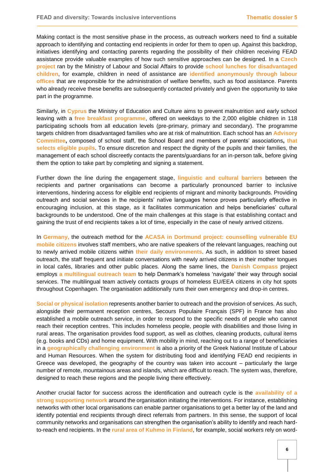Making contact is the most sensitive phase in the process, as outreach workers need to find a suitable approach to identifying and contacting end recipients in order for them to open up. Against this backdrop, initiatives identifying and contacting parents regarding the possibility of their children receiving FEAD assistance provide valuable examples of how such sensitive approaches can be designed. In a **Czech project** ran by the Ministry of Labour and Social Affairs to provide **school lunches for disadvantaged children**, for example, children in need of assistance are **identified anonymously through labour offices** that are responsible for the administration of welfare benefits, such as food assistance. Parents who already receive these benefits are subsequently contacted privately and given the opportunity to take part in the programme.

Similarly, in **Cyprus** the Ministry of Education and Culture aims to prevent malnutrition and early school leaving with a **free breakfast programme**, offered on weekdays to the 2,000 eligible children in 118 participating schools from all education levels (pre-primary, primary and secondary). The programme targets children from disadvantaged families who are at risk of malnutrition. Each school has an **Advisory Committee,** composed of school staff, the School Board and members of parents' associations**, that selects eligible pupils**. To ensure discretion and respect the dignity of the pupils and their families, the management of each school discreetly contacts the parents/guardians for an in-person talk, before giving them the option to take part by completing and signing a statement.

Further down the line during the engagement stage, **linguistic and cultural barriers** between the recipients and partner organisations can become a particularly pronounced barrier to inclusive interventions, hindering access for eligible end recipients of migrant and minority backgrounds. Providing outreach and social services in the recipients' native languages hence proves particularly effective in encouraging inclusion, at this stage, as it facilitates communication and helps beneficiaries' cultural backgrounds to be understood. One of the main challenges at this stage is that establishing contact and gaining the trust of end recipients takes a lot of time, especially in the case of newly arrived citizens.

In **Germany,** the outreach method for the **ACASA in Dortmund project: counselling vulnerable EU mobile citizens** involves staff members, who are native speakers of the relevant languages, reaching out to newly arrived mobile citizens within **their daily environments**. As such, in addition to street based outreach, the staff frequent and initiate conversations with newly arrived citizens in their mother tongues in local cafés, libraries and other public places. Along the same lines, the **Danish Compass** project employs **a multilingual outreach team** to help Denmark's homeless 'navigate' their way through social services. The multilingual team actively contacts groups of homeless EU/EEA citizens in city hot spots throughout Copenhagen. The organisation additionally runs their own emergency and drop-in centres.

**Social or physical isolation** represents another barrier to outreach and the provision of services. As such, alongside their permanent reception centres, Secours Populaire Français (SPF) in France has also established a mobile outreach service, in order to respond to the specific needs of people who cannot reach their reception centres. This includes homeless people, people with disabilities and those living in rural areas. The organisation provides food support, as well as clothes, cleaning products, cultural items (e.g. books and CDs) and home equipment. With mobility in mind, reaching out to a range of beneficiaries in a **geographically challenging environment** is also a priority of the Greek National Institute of Labour and Human Resources. When the system for distributing food and identifying FEAD end recipients in Greece was developed, the geography of the country was taken into account – particularly the large number of remote, mountainous areas and islands, which are difficult to reach. The system was, therefore, designed to reach these regions and the people living there effectively.

Another crucial factor for success across the identification and outreach cycle is the **availability of a strong supporting network** around the organisation initiating the interventions. For instance, establishing networks with other local organisations can enable partner organisations to get a better lay of the land and identify potential end recipients through direct referrals from partners. In this sense, the support of local community networks and organisations can strengthen the organisation's ability to identify and reach hardto-reach end recipients. In the **rural area of Kuhmo in Finland**, for example, social workers rely on word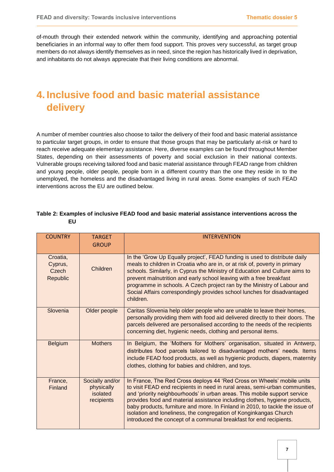of-mouth through their extended network within the community, identifying and approaching potential beneficiaries in an informal way to offer them food support. This proves very successful, as target group members do not always identify themselves as in need, since the region has historically lived in deprivation, and inhabitants do not always appreciate that their living conditions are abnormal.

### <span id="page-8-0"></span>**4. Inclusive food and basic material assistance delivery**

A number of member countries also choose to tailor the delivery of their food and basic material assistance to particular target groups, in order to ensure that those groups that may be particularly at-risk or hard to reach receive adequate elementary assistance. Here, diverse examples can be found throughout Member States, depending on their assessments of poverty and social exclusion in their national contexts. Vulnerable groups receiving tailored food and basic material assistance through FEAD range from children and young people, older people, people born in a different country than the one they reside in to the unemployed, the homeless and the disadvantaged living in rural areas. Some examples of such FEAD interventions across the EU are outlined below.

| <b>COUNTRY</b>                           | <b>TARGET</b><br><b>GROUP</b>                           | <b>INTERVENTION</b>                                                                                                                                                                                                                                                                                                                                                                                                                                                                                                                           |
|------------------------------------------|---------------------------------------------------------|-----------------------------------------------------------------------------------------------------------------------------------------------------------------------------------------------------------------------------------------------------------------------------------------------------------------------------------------------------------------------------------------------------------------------------------------------------------------------------------------------------------------------------------------------|
| Croatia,<br>Cyprus,<br>Czech<br>Republic | Children                                                | In the 'Grow Up Equally project', FEAD funding is used to distribute daily<br>meals to children in Croatia who are in, or at risk of, poverty in primary<br>schools. Similarly, in Cyprus the Ministry of Education and Culture aims to<br>prevent malnutrition and early school leaving with a free breakfast<br>programme in schools. A Czech project ran by the Ministry of Labour and<br>Social Affairs correspondingly provides school lunches for disadvantaged<br>children.                                                            |
| Slovenia                                 | Older people                                            | Caritas Slovenia help older people who are unable to leave their homes,<br>personally providing them with food aid delivered directly to their doors. The<br>parcels delivered are personalised according to the needs of the recipients<br>concerning diet, hygienic needs, clothing and personal items.                                                                                                                                                                                                                                     |
| <b>Belgium</b>                           | <b>Mothers</b>                                          | In Belgium, the 'Mothers for Mothers' organisation, situated in Antwerp,<br>distributes food parcels tailored to disadvantaged mothers' needs. Items<br>include FEAD food products, as well as hygienic products, diapers, maternity<br>clothes, clothing for babies and children, and toys.                                                                                                                                                                                                                                                  |
| France,<br>Finland                       | Socially and/or<br>physically<br>isolated<br>recipients | In France, The Red Cross deploys 44 'Red Cross on Wheels' mobile units<br>to visit FEAD end recipients in need in rural areas, semi-urban communities,<br>and 'priority neighbourhoods' in urban areas. This mobile support service<br>provides food and material assistance including clothes, hygiene products,<br>baby products, furniture and more. In Finland in 2010, to tackle the issue of<br>isolation and loneliness, the congregation of Konginkangas Church<br>introduced the concept of a communal breakfast for end recipients. |

#### **Table 2: Examples of inclusive FEAD food and basic material assistance interventions across the EU**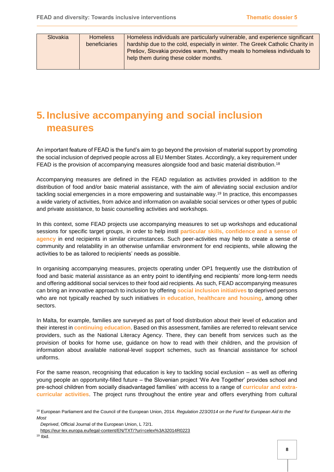| Slovakia | <b>Homeless</b>      | Homeless individuals are particularly vulnerable, and experience significant  |
|----------|----------------------|-------------------------------------------------------------------------------|
|          | <b>beneficiaries</b> | hardship due to the cold, especially in winter. The Greek Catholic Charity in |
|          |                      | Prešov, Slovakia provides warm, healthy meals to homeless individuals to      |
|          |                      | help them during these colder months.                                         |
|          |                      |                                                                               |

## <span id="page-9-0"></span>**5. Inclusive accompanying and social inclusion measures**

An important feature of FEAD is the fund's aim to go beyond the provision of material support by promoting the social inclusion of deprived people across all EU Member States. Accordingly, a key requirement under FEAD is the provision of accompanying measures alongside food and basic material distribution.<sup>18</sup>

Accompanying measures are defined in the FEAD regulation as activities provided in addition to the distribution of food and/or basic material assistance, with the aim of alleviating social exclusion and/or tackling social emergencies in a more empowering and sustainable way.<sup>19</sup> In practice, this encompasses a wide variety of activities, from advice and information on available social services or other types of public and private assistance, to basic counselling activities and workshops.

In this context, some FEAD projects use accompanying measures to set up workshops and educational sessions for specific target groups, in order to help instil **particular skills, confidence and a sense of agency** in end recipients in similar circumstances. Such peer-activities may help to create a sense of community and relatability in an otherwise unfamiliar environment for end recipients, while allowing the activities to be as tailored to recipients' needs as possible.

In organising accompanying measures, projects operating under OP1 frequently use the distribution of food and basic material assistance as an entry point to identifying end recipients' more long-term needs and offering additional social services to their food aid recipients. As such, FEAD accompanying measures can bring an innovative approach to inclusion by offering **social inclusion initiatives** to deprived persons who are not typically reached by such initiatives **in education, healthcare and housing**, among other sectors.

In Malta, for example, families are surveyed as part of food distribution about their level of education and their interest in **continuing education**. Based on this assessment, families are referred to relevant service providers, such as the National Literacy Agency. There, they can benefit from services such as the provision of books for home use, guidance on how to read with their children, and the provision of information about available national-level support schemes, such as financial assistance for school uniforms.

For the same reason, recognising that education is key to tackling social exclusion – as well as offering young people an opportunity-filled future – the Slovenian project 'We Are Together' provides school and pre-school children from socially disadvantaged families' with access to a range of **curricular and extracurricular activities**. The project runs throughout the entire year and offers everything from cultural

<sup>18</sup> European Parliament and the Council of the European Union, 2014*. Regulation 223/2014 on the Fund for European Aid to the Most* 

*Deprived*, Official Journal of the European Union, L 72/1.

<https://eur-lex.europa.eu/legal-content/EN/TXT/?uri=celex%3A32014R0223>

<sup>19</sup> Ibid.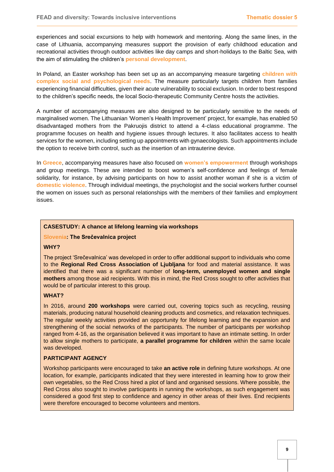experiences and social excursions to help with homework and mentoring. Along the same lines, in the case of Lithuania, accompanying measures support the provision of early childhood education and recreational activities through outdoor activities like day camps and short-holidays to the Baltic Sea, with the aim of stimulating the children's **personal development**.

In Poland, an Easter workshop has been set up as an accompanying measure targeting **children with complex social and psychological needs**. The measure particularly targets children from families experiencing financial difficulties, given their acute vulnerability to social exclusion. In order to best respond to the children's specific needs, the local Socio-therapeutic Community Centre hosts the activities.

A number of accompanying measures are also designed to be particularly sensitive to the needs of marginalised women. The Lithuanian 'Women's Health Improvement' project, for example, has enabled 50 disadvantaged mothers from the Pakruojis district to attend a 4-class educational programme. The programme focuses on health and hygiene issues through lectures. It also facilitates access to health services for the women, including setting up appointments with gynaecologists. Such appointments include the option to receive birth control, such as the insertion of an intrauterine device.

In **Greece**, accompanying measures have also focused on **women's empowerment** through workshops and group meetings. These are intended to boost women's self-confidence and feelings of female solidarity, for instance, by advising participants on how to assist another woman if she is a victim of **domestic violence**. Through individual meetings, the psychologist and the social workers further counsel the women on issues such as personal relationships with the members of their families and employment issues.

#### **CASESTUDY: A chance at lifelong learning via workshops**

#### **Slovenia: The Srečevalnica project**

#### **WHY?**

The project 'Srečevalnica' was developed in order to offer additional support to individuals who come to the **Regional Red Cross Association of Ljubljana** for food and material assistance. It was identified that there was a significant number of **long-term, unemployed women and single mothers** among those aid recipients. With this in mind, the Red Cross sought to offer activities that would be of particular interest to this group.

#### **WHAT?**

In 2016, around **200 workshops** were carried out, covering topics such as recycling, reusing materials, producing natural household cleaning products and cosmetics, and relaxation techniques. The regular weekly activities provided an opportunity for lifelong learning and the expansion and strengthening of the social networks of the participants. The number of participants per workshop ranged from 4-16, as the organisation believed it was important to have an intimate setting. In order to allow single mothers to participate, **a parallel programme for children** within the same locale was developed.

#### **PARTICIPANT AGENCY**

Workshop participants were encouraged to take **an active role** in defining future workshops. At one location, for example, participants indicated that they were interested in learning how to grow their own vegetables, so the Red Cross hired a plot of land and organised sessions. Where possible, the Red Cross also sought to involve participants in running the workshops, as such engagement was considered a good first step to confidence and agency in other areas of their lives. End recipients were therefore encouraged to become volunteers and mentors.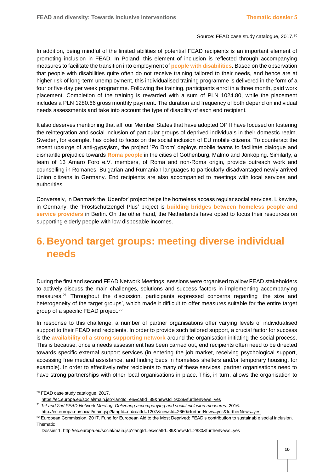#### Source: FEAD case study catalogue, 2017.<sup>20</sup>

In addition, being mindful of the limited abilities of potential FEAD recipients is an important element of promoting inclusion in FEAD. In Poland, this element of inclusion is reflected through accompanying measures to facilitate the transition into employment of **people with disabilities**. Based on the observation that people with disabilities quite often do not receive training tailored to their needs, and hence are at higher risk of long-term unemployment, this individualised training programme is delivered in the form of a four or five day per week programme. Following the training, participants enrol in a three month, paid work placement. Completion of the training is rewarded with a sum of PLN 1024.80, while the placement includes a PLN 1280.66 gross monthly payment. The duration and frequency of both depend on individual needs assessments and take into account the type of disability of each end recipient.

It also deserves mentioning that all four Member States that have adopted OP II have focused on fostering the reintegration and social inclusion of particular groups of deprived individuals in their domestic realm. Sweden, for example, has opted to focus on the social inclusion of EU mobile citizens. To counteract the recent upsurge of anti-gypsyism, the project 'Po Drom' deploys mobile teams to facilitate dialogue and dismantle prejudice towards **Roma people** in the cities of Gothenburg, Malmö and Jönköping. Similarly, a team of 13 Amaro Foro e.V. members, of Roma and non-Roma origin, provide outreach work and counselling in Romanes, Bulgarian and Rumanian languages to particularly disadvantaged newly arrived Union citizens in Germany. End recipients are also accompanied to meetings with local services and authorities.

Conversely, in Denmark the 'Udenfor' project helps the homeless access regular social services. Likewise, in Germany, the 'Frostschutzengel Plus' project is **building bridges between homeless people and service providers** in Berlin. On the other hand, the Netherlands have opted to focus their resources on supporting elderly people with low disposable incomes.

### <span id="page-11-0"></span>**6. Beyond target groups: meeting diverse individual needs**

During the first and second FEAD Network Meetings, sessions were organised to allow FEAD stakeholders to actively discuss the main challenges, solutions and success factors in implementing accompanying measures.<sup>21</sup> Throughout the discussion, participants expressed concerns regarding 'the size and heterogeneity of the target groups', which made it difficult to offer measures suitable for the entire target group of a specific FEAD project.<sup>22</sup>

In response to this challenge, a number of partner organisations offer varying levels of individualised support to their FEAD end recipients. In order to provide such tailored support, a crucial factor for success is the **availability of a strong supporting network** around the organisation initiating the social process. This is because, once a needs assessment has been carried out, end recipients often need to be directed towards specific external support services (in entering the job market, receiving psychological support, accessing free medical assistance, and finding beds in homeless shelters and/or temporary housing, for example). In order to effectively refer recipients to many of these services, partner organisations need to have strong partnerships with other local organisations in place. This, in turn, allows the organisation to

<sup>20</sup> FEAD case study catalogue, 2017. <https://ec.europa.eu/social/main.jsp?langId=en&catId=89&newsId=9038&furtherNews=yes>

<sup>21</sup> *1st and 2nd FEAD Network Meeting: Delivering accompanying and social inclusion measures*, 2016.

<http://ec.europa.eu/social/main.jsp?langId=en&catId=1207&newsId=2660&furtherNews=yes&furtherNews=yes>

<sup>&</sup>lt;sup>22</sup> European Commission, 2017. Fund for European Aid to the Most Deprived: FEAD's contribution to sustainable social inclusion, Thematic

Dossier 1[. http://ec.europa.eu/social/main.jsp?langId=es&catId=89&newsId=2880&furtherNews=yes](http://ec.europa.eu/social/main.jsp?langId=es&catId=89&newsId=2880&furtherNews=yes)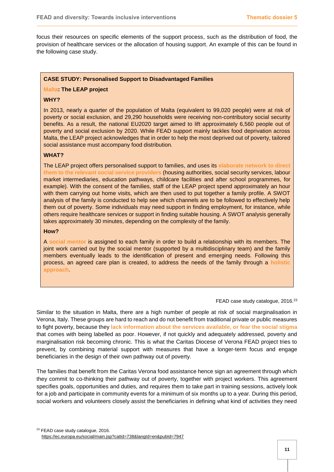focus their resources on specific elements of the support process, such as the distribution of food, the provision of healthcare services or the allocation of housing support. An example of this can be found in the following case study.

#### **CASE STUDY: Personalised Support to Disadvantaged Families**

#### **Malta: The LEAP project**

#### **WHY?**

In 2013, nearly a quarter of the population of Malta (equivalent to 99,020 people) were at risk of poverty or social exclusion, and 29,290 households were receiving non-contributory social security benefits. As a result, the national EU2020 target aimed to lift approximately 6,560 people out of poverty and social exclusion by 2020. While FEAD support mainly tackles food deprivation across Malta, the LEAP project acknowledges that in order to help the most deprived out of poverty, tailored social assistance must accompany food distribution.

#### **WHAT?**

The LEAP project offers personalised support to families, and uses its **elaborate network to direct them to the relevant social service providers** (housing authorities, social security services, labour market intermediaries, education pathways, childcare facilities and after school programmes, for example). With the consent of the families, staff of the LEAP project spend approximately an hour with them carrying out home visits, which are then used to put together a family profile. A SWOT analysis of the family is conducted to help see which channels are to be followed to effectively help them out of poverty. Some individuals may need support in finding employment, for instance, while others require healthcare services or support in finding suitable housing. A SWOT analysis generally takes approximately 30 minutes, depending on the complexity of the family.

#### **How?**

A **social mentor** is assigned to each family in order to build a relationship with its members. The joint work carried out by the social mentor (supported by a multidisciplinary team) and the family members eventually leads to the identification of present and emerging needs. Following this process, an agreed care plan is created, to address the needs of the family through a **holistic approach**.

#### FEAD case study catalogue, 2016.<sup>23</sup>

Similar to the situation in Malta, there are a high number of people at risk of social marginalisation in Verona, Italy. These groups are hard to reach and do not benefit from traditional private or public measures to fight poverty, because they **lack information about the services available, or fear the social stigma** that comes with being labelled as poor. However, if not quickly and adequately addressed, poverty and marginalisation risk becoming chronic. This is what the Caritas Diocese of Verona FEAD project tries to prevent, by combining material support with measures that have a longer-term focus and engage beneficiaries in the design of their own pathway out of poverty.

The families that benefit from the Caritas Verona food assistance hence sign an agreement through which they commit to co-thinking their pathway out of poverty, together with project workers. This agreement specifies goals, opportunities and duties, and requires them to take part in training sessions, actively look for a job and participate in community events for a minimum of six months up to a year. During this period, social workers and volunteers closely assist the beneficiaries in defining what kind of activities they need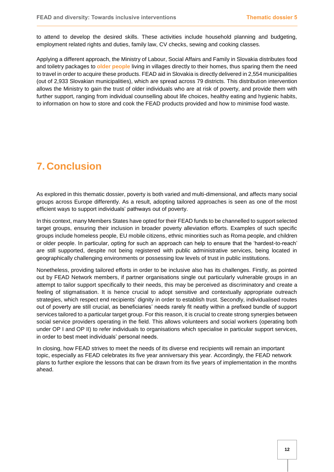to attend to develop the desired skills. These activities include household planning and budgeting, employment related rights and duties, family law, CV checks, sewing and cooking classes.

Applying a different approach, the Ministry of Labour, Social Affairs and Family in Slovakia distributes food and toiletry packages to **older people** living in villages directly to their homes, thus sparing them the need to travel in order to acquire these products. FEAD aid in Slovakia is directly delivered in 2,554 municipalities (out of 2,933 Slovakian municipalities), which are spread across 79 districts. This distribution intervention allows the Ministry to gain the trust of older individuals who are at risk of poverty, and provide them with further support, ranging from individual counselling about life choices, healthy eating and hygienic habits, to information on how to store and cook the FEAD products provided and how to minimise food waste.

### <span id="page-13-0"></span>**7. Conclusion**

As explored in this thematic dossier, poverty is both varied and multi-dimensional, and affects many social groups across Europe differently. As a result, adopting tailored approaches is seen as one of the most efficient ways to support individuals' pathways out of poverty.

In this context, many Members States have opted for their FEAD funds to be channelled to support selected target groups, ensuring their inclusion in broader poverty alleviation efforts. Examples of such specific groups include homeless people, EU mobile citizens, ethnic minorities such as Roma people, and children or older people. In particular, opting for such an approach can help to ensure that the 'hardest-to-reach' are still supported, despite not being registered with public administrative services, being located in geographically challenging environments or possessing low levels of trust in public institutions.

Nonetheless, providing tailored efforts in order to be inclusive also has its challenges. Firstly, as pointed out by FEAD Network members, if partner organisations single out particularly vulnerable groups in an attempt to tailor support specifically to their needs, this may be perceived as discriminatory and create a feeling of stigmatisation. It is hence crucial to adopt sensitive and contextually appropriate outreach strategies, which respect end recipients' dignity in order to establish trust. Secondly, individualised routes out of poverty are still crucial, as beneficiaries' needs rarely fit neatly within a prefixed bundle of support services tailored to a particular target group. For this reason, it is crucial to create strong synergies between social service providers operating in the field. This allows volunteers and social workers (operating both under OP I and OP II) to refer individuals to organisations which specialise in particular support services, in order to best meet individuals' personal needs.

In closing, how FEAD strives to meet the needs of its diverse end recipients will remain an important topic, especially as FEAD celebrates its five year anniversary this year. Accordingly, the FEAD network plans to further explore the lessons that can be drawn from its five years of implementation in the months ahead.